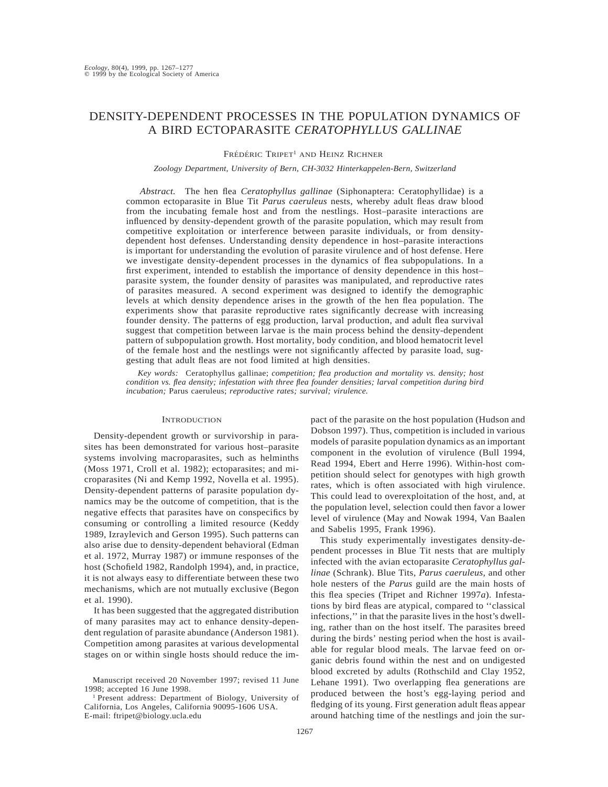# DENSITY-DEPENDENT PROCESSES IN THE POPULATION DYNAMICS OF A BIRD ECTOPARASITE *CERATOPHYLLUS GALLINAE*

### FRÉDÉRIC TRIPET<sup>1</sup> AND HEINZ RICHNER

# *Zoology Department, University of Bern, CH-3032 Hinterkappelen-Bern, Switzerland*

*Abstract.* The hen flea *Ceratophyllus gallinae* (Siphonaptera: Ceratophyllidae) is a common ectoparasite in Blue Tit *Parus caeruleus* nests, whereby adult fleas draw blood from the incubating female host and from the nestlings. Host–parasite interactions are influenced by density-dependent growth of the parasite population, which may result from competitive exploitation or interference between parasite individuals, or from densitydependent host defenses. Understanding density dependence in host–parasite interactions is important for understanding the evolution of parasite virulence and of host defense. Here we investigate density-dependent processes in the dynamics of flea subpopulations. In a first experiment, intended to establish the importance of density dependence in this host– parasite system, the founder density of parasites was manipulated, and reproductive rates of parasites measured. A second experiment was designed to identify the demographic levels at which density dependence arises in the growth of the hen flea population. The experiments show that parasite reproductive rates significantly decrease with increasing founder density. The patterns of egg production, larval production, and adult flea survival suggest that competition between larvae is the main process behind the density-dependent pattern of subpopulation growth. Host mortality, body condition, and blood hematocrit level of the female host and the nestlings were not significantly affected by parasite load, suggesting that adult fleas are not food limited at high densities.

*Key words:* Ceratophyllus gallinae; *competition; flea production and mortality vs. density; host condition vs. flea density; infestation with three flea founder densities; larval competition during bird incubation;* Parus caeruleus; *reproductive rates; survival; virulence.*

## **INTRODUCTION**

Density-dependent growth or survivorship in parasites has been demonstrated for various host–parasite systems involving macroparasites, such as helminths (Moss 1971, Croll et al. 1982); ectoparasites; and microparasites (Ni and Kemp 1992, Novella et al. 1995). Density-dependent patterns of parasite population dynamics may be the outcome of competition, that is the negative effects that parasites have on conspecifics by consuming or controlling a limited resource (Keddy 1989, Izraylevich and Gerson 1995). Such patterns can also arise due to density-dependent behavioral (Edman et al. 1972, Murray 1987) or immune responses of the host (Schofield 1982, Randolph 1994), and, in practice, it is not always easy to differentiate between these two mechanisms, which are not mutually exclusive (Begon et al. 1990).

It has been suggested that the aggregated distribution of many parasites may act to enhance density-dependent regulation of parasite abundance (Anderson 1981). Competition among parasites at various developmental stages on or within single hosts should reduce the impact of the parasite on the host population (Hudson and Dobson 1997). Thus, competition is included in various models of parasite population dynamics as an important component in the evolution of virulence (Bull 1994, Read 1994, Ebert and Herre 1996). Within-host competition should select for genotypes with high growth rates, which is often associated with high virulence. This could lead to overexploitation of the host, and, at the population level, selection could then favor a lower level of virulence (May and Nowak 1994, Van Baalen and Sabelis 1995, Frank 1996).

This study experimentally investigates density-dependent processes in Blue Tit nests that are multiply infected with the avian ectoparasite *Ceratophyllus gallinae* (Schrank). Blue Tits, *Parus caeruleus,* and other hole nesters of the *Parus* guild are the main hosts of this flea species (Tripet and Richner 1997*a*). Infestations by bird fleas are atypical, compared to ''classical infections,'' in that the parasite lives in the host's dwelling, rather than on the host itself. The parasites breed during the birds' nesting period when the host is available for regular blood meals. The larvae feed on organic debris found within the nest and on undigested blood excreted by adults (Rothschild and Clay 1952, Lehane 1991). Two overlapping flea generations are produced between the host's egg-laying period and fledging of its young. First generation adult fleas appear around hatching time of the nestlings and join the sur-

Manuscript received 20 November 1997; revised 11 June 1998; accepted 16 June 1998.

<sup>1</sup> Present address: Department of Biology, University of California, Los Angeles, California 90095-1606 USA. E-mail: ftripet@biology.ucla.edu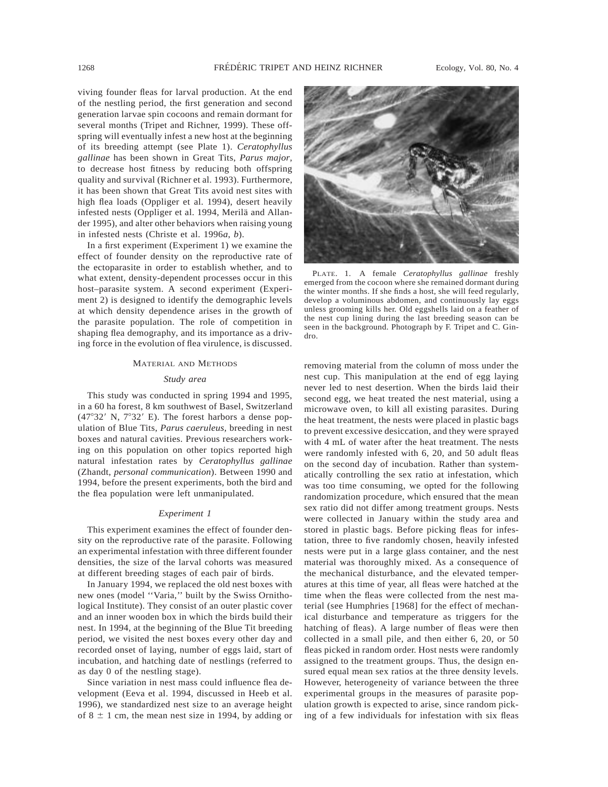viving founder fleas for larval production. At the end of the nestling period, the first generation and second generation larvae spin cocoons and remain dormant for several months (Tripet and Richner, 1999). These offspring will eventually infest a new host at the beginning of its breeding attempt (see Plate 1). *Ceratophyllus gallinae* has been shown in Great Tits, *Parus major,* to decrease host fitness by reducing both offspring quality and survival (Richner et al. 1993). Furthermore, it has been shown that Great Tits avoid nest sites with high flea loads (Oppliger et al. 1994), desert heavily infested nests (Oppliger et al. 1994, Merilä and Allander 1995), and alter other behaviors when raising young in infested nests (Christe et al. 1996*a*, *b*).

In a first experiment (Experiment 1) we examine the effect of founder density on the reproductive rate of the ectoparasite in order to establish whether, and to what extent, density-dependent processes occur in this host–parasite system. A second experiment (Experiment 2) is designed to identify the demographic levels at which density dependence arises in the growth of the parasite population. The role of competition in shaping flea demography, and its importance as a driving force in the evolution of flea virulence, is discussed.

#### MATERIAL AND METHODS

#### *Study area*

This study was conducted in spring 1994 and 1995, in a 60 ha forest, 8 km southwest of Basel, Switzerland  $(47°32'$  N,  $7°32'$  E). The forest harbors a dense population of Blue Tits, *Parus caeruleus,* breeding in nest boxes and natural cavities. Previous researchers working on this population on other topics reported high natural infestation rates by *Ceratophyllus gallinae* (Zhandt, *personal communication*). Between 1990 and 1994, before the present experiments, both the bird and the flea population were left unmanipulated.

### *Experiment 1*

This experiment examines the effect of founder density on the reproductive rate of the parasite. Following an experimental infestation with three different founder densities, the size of the larval cohorts was measured at different breeding stages of each pair of birds.

In January 1994, we replaced the old nest boxes with new ones (model ''Varia,'' built by the Swiss Ornithological Institute). They consist of an outer plastic cover and an inner wooden box in which the birds build their nest. In 1994, at the beginning of the Blue Tit breeding period, we visited the nest boxes every other day and recorded onset of laying, number of eggs laid, start of incubation, and hatching date of nestlings (referred to as day 0 of the nestling stage).

Since variation in nest mass could influence flea development (Eeva et al. 1994, discussed in Heeb et al. 1996), we standardized nest size to an average height of  $8 \pm 1$  cm, the mean nest size in 1994, by adding or



PLATE. 1. A female *Ceratophyllus gallinae* freshly emerged from the cocoon where she remained dormant during the winter months. If she finds a host, she will feed regularly, develop a voluminous abdomen, and continuously lay eggs unless grooming kills her. Old eggshells laid on a feather of the nest cup lining during the last breeding season can be seen in the background. Photograph by F. Tripet and C. Gindro.

removing material from the column of moss under the nest cup. This manipulation at the end of egg laying never led to nest desertion. When the birds laid their second egg, we heat treated the nest material, using a microwave oven, to kill all existing parasites. During the heat treatment, the nests were placed in plastic bags to prevent excessive desiccation, and they were sprayed with 4 mL of water after the heat treatment. The nests were randomly infested with 6, 20, and 50 adult fleas on the second day of incubation. Rather than systematically controlling the sex ratio at infestation, which was too time consuming, we opted for the following randomization procedure, which ensured that the mean sex ratio did not differ among treatment groups. Nests were collected in January within the study area and stored in plastic bags. Before picking fleas for infestation, three to five randomly chosen, heavily infested nests were put in a large glass container, and the nest material was thoroughly mixed. As a consequence of the mechanical disturbance, and the elevated temperatures at this time of year, all fleas were hatched at the time when the fleas were collected from the nest material (see Humphries [1968] for the effect of mechanical disturbance and temperature as triggers for the hatching of fleas). A large number of fleas were then collected in a small pile, and then either 6, 20, or 50 fleas picked in random order. Host nests were randomly assigned to the treatment groups. Thus, the design ensured equal mean sex ratios at the three density levels. However, heterogeneity of variance between the three experimental groups in the measures of parasite population growth is expected to arise, since random picking of a few individuals for infestation with six fleas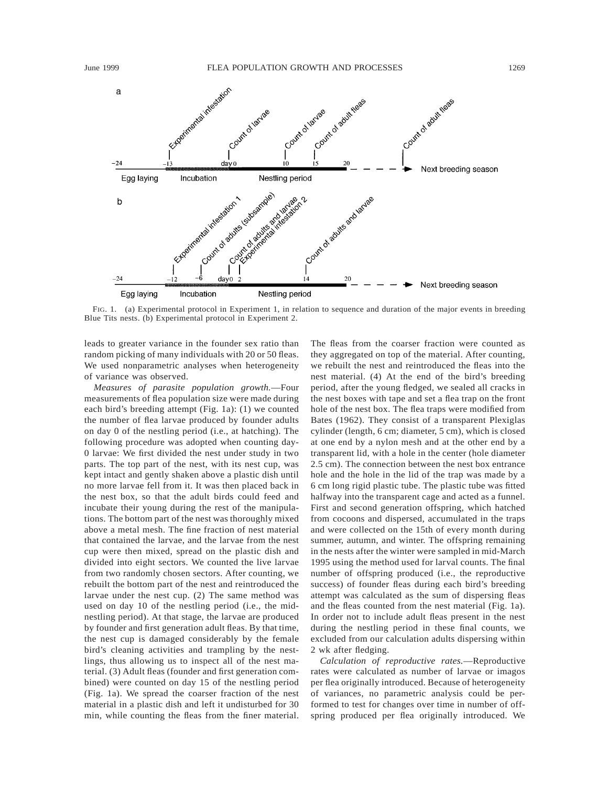

FIG. 1. (a) Experimental protocol in Experiment 1, in relation to sequence and duration of the major events in breeding Blue Tits nests. (b) Experimental protocol in Experiment 2.

leads to greater variance in the founder sex ratio than random picking of many individuals with 20 or 50 fleas. We used nonparametric analyses when heterogeneity of variance was observed.

*Measures of parasite population growth.*—Four measurements of flea population size were made during each bird's breeding attempt (Fig. 1a): (1) we counted the number of flea larvae produced by founder adults on day 0 of the nestling period (i.e., at hatching). The following procedure was adopted when counting day-0 larvae: We first divided the nest under study in two parts. The top part of the nest, with its nest cup, was kept intact and gently shaken above a plastic dish until no more larvae fell from it. It was then placed back in the nest box, so that the adult birds could feed and incubate their young during the rest of the manipulations. The bottom part of the nest was thoroughly mixed above a metal mesh. The fine fraction of nest material that contained the larvae, and the larvae from the nest cup were then mixed, spread on the plastic dish and divided into eight sectors. We counted the live larvae from two randomly chosen sectors. After counting, we rebuilt the bottom part of the nest and reintroduced the larvae under the nest cup. (2) The same method was used on day 10 of the nestling period (i.e., the midnestling period). At that stage, the larvae are produced by founder and first generation adult fleas. By that time, the nest cup is damaged considerably by the female bird's cleaning activities and trampling by the nestlings, thus allowing us to inspect all of the nest material. (3) Adult fleas (founder and first generation combined) were counted on day 15 of the nestling period (Fig. 1a). We spread the coarser fraction of the nest material in a plastic dish and left it undisturbed for 30 min, while counting the fleas from the finer material.

The fleas from the coarser fraction were counted as they aggregated on top of the material. After counting, we rebuilt the nest and reintroduced the fleas into the nest material. (4) At the end of the bird's breeding period, after the young fledged, we sealed all cracks in the nest boxes with tape and set a flea trap on the front hole of the nest box. The flea traps were modified from Bates (1962). They consist of a transparent Plexiglas cylinder (length, 6 cm; diameter, 5 cm), which is closed at one end by a nylon mesh and at the other end by a transparent lid, with a hole in the center (hole diameter 2.5 cm). The connection between the nest box entrance hole and the hole in the lid of the trap was made by a 6 cm long rigid plastic tube. The plastic tube was fitted halfway into the transparent cage and acted as a funnel. First and second generation offspring, which hatched from cocoons and dispersed, accumulated in the traps and were collected on the 15th of every month during summer, autumn, and winter. The offspring remaining in the nests after the winter were sampled in mid-March 1995 using the method used for larval counts. The final number of offspring produced (i.e., the reproductive success) of founder fleas during each bird's breeding attempt was calculated as the sum of dispersing fleas and the fleas counted from the nest material (Fig. 1a). In order not to include adult fleas present in the nest during the nestling period in these final counts, we excluded from our calculation adults dispersing within 2 wk after fledging.

*Calculation of reproductive rates.*—Reproductive rates were calculated as number of larvae or imagos per flea originally introduced. Because of heterogeneity of variances, no parametric analysis could be performed to test for changes over time in number of offspring produced per flea originally introduced. We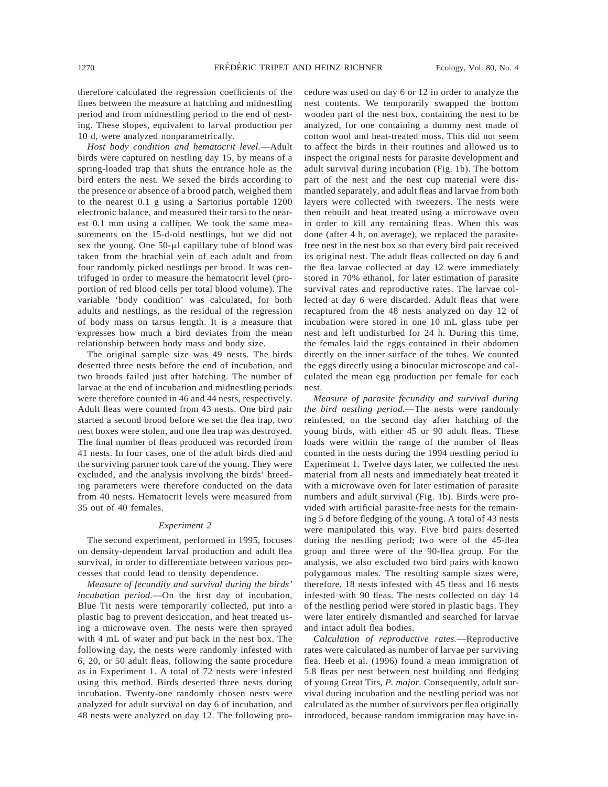therefore calculated the regression coefficients of the lines between the measure at hatching and midnestling period and from midnestling period to the end of nesting. These slopes, equivalent to larval production per 10 d, were analyzed nonparametrically.

*Host body condition and hematocrit level.*—Adult birds were captured on nestling day 15, by means of a spring-loaded trap that shuts the entrance hole as the bird enters the nest. We sexed the birds according to the presence or absence of a brood patch, weighed them to the nearest 0.1 g using a Sartorius portable 1200 electronic balance, and measured their tarsi to the nearest 0.1 mm using a calliper. We took the same measurements on the 15-d-old nestlings, but we did not sex the young. One  $50$ - $\mu$ l capillary tube of blood was taken from the brachial vein of each adult and from four randomly picked nestlings per brood. It was centrifuged in order to measure the hematocrit level (proportion of red blood cells per total blood volume). The variable 'body condition' was calculated, for both adults and nestlings, as the residual of the regression of body mass on tarsus length. It is a measure that expresses how much a bird deviates from the mean relationship between body mass and body size.

The original sample size was 49 nests. The birds deserted three nests before the end of incubation, and two broods failed just after hatching. The number of larvae at the end of incubation and midnestling periods were therefore counted in 46 and 44 nests, respectively. Adult fleas were counted from 43 nests. One bird pair started a second brood before we set the flea trap, two nest boxes were stolen, and one flea trap was destroyed. The final number of fleas produced was recorded from 41 nests. In four cases, one of the adult birds died and the surviving partner took care of the young. They were excluded, and the analysis involving the birds' breeding parameters were therefore conducted on the data from 40 nests. Hematocrit levels were measured from 35 out of 40 females.

# *Experiment 2*

The second experiment, performed in 1995, focuses on density-dependent larval production and adult flea survival, in order to differentiate between various processes that could lead to density dependence.

*Measure of fecundity and survival during the birds' incubation period.*—On the first day of incubation, Blue Tit nests were temporarily collected, put into a plastic bag to prevent desiccation, and heat treated using a microwave oven. The nests were then sprayed with 4 mL of water and put back in the nest box. The following day, the nests were randomly infested with 6, 20, or 50 adult fleas, following the same procedure as in Experiment 1. A total of 72 nests were infested using this method. Birds deserted three nests during incubation. Twenty-one randomly chosen nests were analyzed for adult survival on day 6 of incubation, and 48 nests were analyzed on day 12. The following procedure was used on day 6 or 12 in order to analyze the nest contents. We temporarily swapped the bottom wooden part of the nest box, containing the nest to be analyzed, for one containing a dummy nest made of cotton wool and heat-treated moss. This did not seem to affect the birds in their routines and allowed us to inspect the original nests for parasite development and adult survival during incubation (Fig. 1b). The bottom part of the nest and the nest cup material were dismantled separately, and adult fleas and larvae from both layers were collected with tweezers. The nests were then rebuilt and heat treated using a microwave oven in order to kill any remaining fleas. When this was done (after 4 h, on average), we replaced the parasitefree nest in the nest box so that every bird pair received its original nest. The adult fleas collected on day 6 and the flea larvae collected at day 12 were immediately stored in 70% ethanol, for later estimation of parasite survival rates and reproductive rates. The larvae collected at day 6 were discarded. Adult fleas that were recaptured from the 48 nests analyzed on day 12 of incubation were stored in one 10 mL glass tube per nest and left undisturbed for 24 h. During this time, the females laid the eggs contained in their abdomen directly on the inner surface of the tubes. We counted the eggs directly using a binocular microscope and calculated the mean egg production per female for each nest.

*Measure of parasite fecundity and survival during the bird nestling period.*—The nests were randomly reinfested, on the second day after hatching of the young birds, with either 45 or 90 adult fleas. These loads were within the range of the number of fleas counted in the nests during the 1994 nestling period in Experiment 1. Twelve days later, we collected the nest material from all nests and immediately heat treated it with a microwave oven for later estimation of parasite numbers and adult survival (Fig. 1b). Birds were provided with artificial parasite-free nests for the remaining 5 d before fledging of the young. A total of 43 nests were manipulated this way. Five bird pairs deserted during the nestling period; two were of the 45-flea group and three were of the 90-flea group. For the analysis, we also excluded two bird pairs with known polygamous males. The resulting sample sizes were, therefore, 18 nests infested with 45 fleas and 16 nests infested with 90 fleas. The nests collected on day 14 of the nestling period were stored in plastic bags. They were later entirely dismantled and searched for larvae and intact adult flea bodies.

*Calculation of reproductive rates.*—Reproductive rates were calculated as number of larvae per surviving flea. Heeb et al. (1996) found a mean immigration of 5.8 fleas per nest between nest building and fledging of young Great Tits, *P. major.* Consequently, adult survival during incubation and the nestling period was not calculated as the number of survivors per flea originally introduced, because random immigration may have in-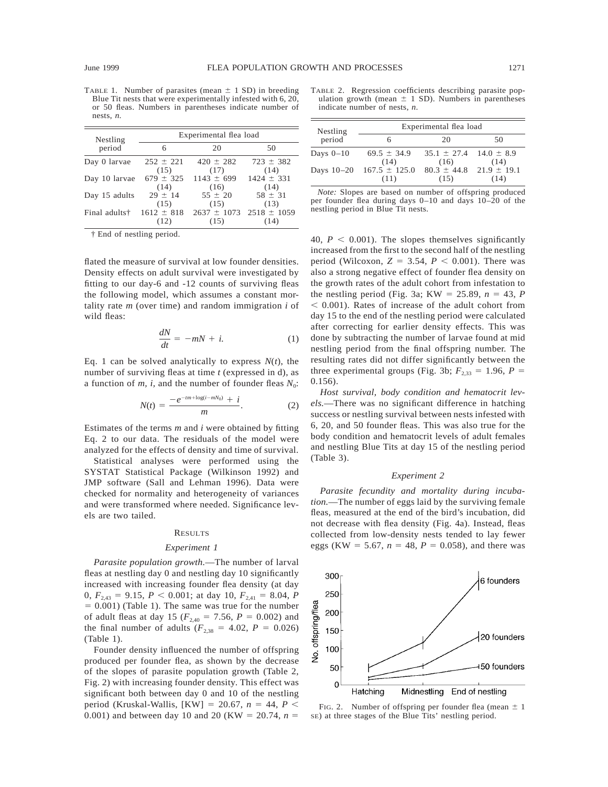TABLE 1. Number of parasites (mean  $\pm$  1 SD) in breeding Blue Tit nests that were experimentally infested with 6, 20, or 50 fleas. Numbers in parentheses indicate number of nests, *n*.

| Nestling      | Experimental flea load |                 |                 |  |
|---------------|------------------------|-----------------|-----------------|--|
| period        | 6                      | 20              | 50              |  |
| Day 0 larvae  | $252 \pm 221$          | $420 \pm 282$   | $723 \pm 382$   |  |
|               | (15)                   | (17)            | (14)            |  |
| Day 10 larvae | $679 \pm 325$          | $1143 \pm 699$  | $1424 \pm 331$  |  |
|               | (14)                   | (16)            | (14)            |  |
| Day 15 adults | $29 \pm 14$            | $55 \pm 20$     | $58 \pm 31$     |  |
|               | (15)                   | (15)            | (13)            |  |
| Final adults† | $1612 \pm 818$         | $2637 \pm 1073$ | $2518 \pm 1059$ |  |
|               | (12)                   | (15)            | (14)            |  |

† End of nestling period.

flated the measure of survival at low founder densities. Density effects on adult survival were investigated by fitting to our day-6 and -12 counts of surviving fleas the following model, which assumes a constant mortality rate *m* (over time) and random immigration *i* of wild fleas:

$$
\frac{dN}{dt} = -mN + i.\tag{1}
$$

Eq. 1 can be solved analytically to express  $N(t)$ , the number of surviving fleas at time *t* (expressed in d), as a function of *m, i,* and the number of founder fleas  $N_0$ :

$$
N(t) = \frac{-e^{-tm + \log(i - mN_0)} + i}{m}.
$$
 (2)

Estimates of the terms *m* and *i* were obtained by fitting Eq. 2 to our data. The residuals of the model were analyzed for the effects of density and time of survival.

Statistical analyses were performed using the SYSTAT Statistical Package (Wilkinson 1992) and JMP software (Sall and Lehman 1996). Data were checked for normality and heterogeneity of variances and were transformed where needed. Significance levels are two tailed.

#### RESULTS

#### *Experiment 1*

*Parasite population growth.*—The number of larval fleas at nestling day 0 and nestling day 10 significantly increased with increasing founder flea density (at day 0,  $F_{2,43} = 9.15$ ,  $P < 0.001$ ; at day 10,  $F_{2,41} = 8.04$ , *P*  $= 0.001$ ) (Table 1). The same was true for the number of adult fleas at day 15 ( $F_{2,40} = 7.56$ ,  $P = 0.002$ ) and the final number of adults ( $F_{2,38} = 4.02$ ,  $P = 0.026$ ) (Table 1).

Founder density influenced the number of offspring produced per founder flea, as shown by the decrease of the slopes of parasite population growth (Table 2, Fig. 2) with increasing founder density. This effect was significant both between day 0 and 10 of the nestling period (Kruskal-Wallis, [KW] = 20.67,  $n = 44$ ,  $P$  < 0.001) and between day 10 and 20 (KW = 20.74,  $n =$ 

TABLE 2. Regression coefficients describing parasite population growth (mean  $\pm$  1 SD). Numbers in parentheses indicate number of nests, *n*.

| Nestling    | Experimental flea load                         |                                                 |              |  |
|-------------|------------------------------------------------|-------------------------------------------------|--------------|--|
| period      |                                                | 20                                              | 50           |  |
| Days $0-10$ | $69.5 \pm 34.9$                                | $35.1 \pm 27.4$ 14.0 $\pm$ 8.9                  |              |  |
|             | (14)<br>Days $10-20$ 167.5 $\pm$ 125.0<br>(11) | (16)<br>$80.3 \pm 44.8$ 21.9 $\pm$ 19.1<br>(15) | (14)<br>(14) |  |

*Note:* Slopes are based on number of offspring produced per founder flea during days 0–10 and days 10–20 of the nestling period in Blue Tit nests.

40,  $P < 0.001$ ). The slopes themselves significantly increased from the first to the second half of the nestling period (Wilcoxon,  $Z = 3.54$ ,  $P < 0.001$ ). There was also a strong negative effect of founder flea density on the growth rates of the adult cohort from infestation to the nestling period (Fig. 3a;  $KW = 25.89$ ,  $n = 43$ , *P*  $<$  0.001). Rates of increase of the adult cohort from day 15 to the end of the nestling period were calculated after correcting for earlier density effects. This was done by subtracting the number of larvae found at mid nestling period from the final offspring number. The resulting rates did not differ significantly between the three experimental groups (Fig. 3b;  $F_{2,33} = 1.96$ ,  $P =$ 0.156).

*Host survival, body condition and hematocrit levels.*—There was no significant difference in hatching success or nestling survival between nests infested with 6, 20, and 50 founder fleas. This was also true for the body condition and hematocrit levels of adult females and nestling Blue Tits at day 15 of the nestling period (Table 3).

# *Experiment 2*

*Parasite fecundity and mortality during incubation.*—The number of eggs laid by the surviving female fleas, measured at the end of the bird's incubation, did not decrease with flea density (Fig. 4a). Instead, fleas collected from low-density nests tended to lay fewer eggs (KW = 5.67,  $n = 48$ ,  $P = 0.058$ ), and there was



FIG. 2. Number of offspring per founder flea (mean  $\pm$  1 SE) at three stages of the Blue Tits' nestling period.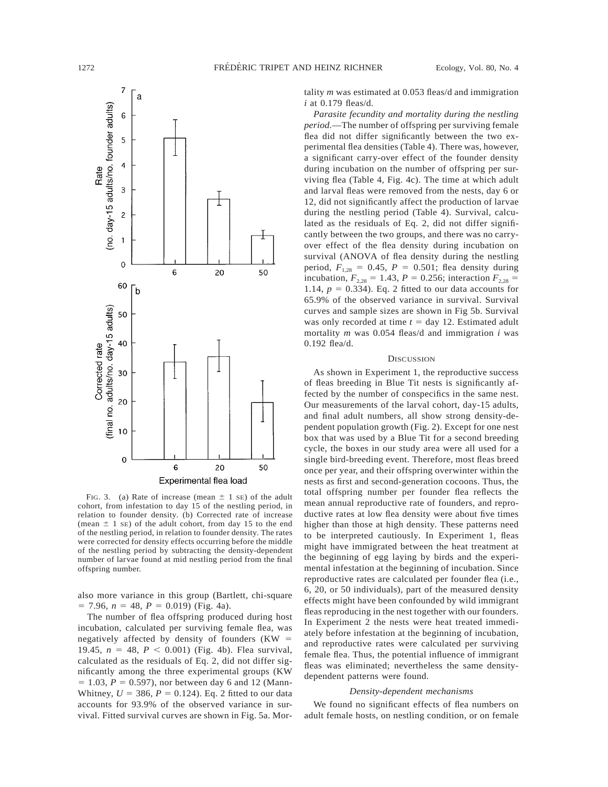

FIG. 3. (a) Rate of increase (mean  $\pm$  1 sE) of the adult cohort, from infestation to day 15 of the nestling period, in relation to founder density. (b) Corrected rate of increase (mean  $\pm$  1 se) of the adult cohort, from day 15 to the end of the nestling period, in relation to founder density. The rates were corrected for density effects occurring before the middle of the nestling period by subtracting the density-dependent number of larvae found at mid nestling period from the final offspring number.

also more variance in this group (Bartlett, chi-square  $= 7.96, n = 48, P = 0.019$  (Fig. 4a).

The number of flea offspring produced during host incubation, calculated per surviving female flea, was negatively affected by density of founders  $(KW =$ 19.45,  $n = 48$ ,  $P < 0.001$ ) (Fig. 4b). Flea survival, calculated as the residuals of Eq. 2, did not differ significantly among the three experimental groups (KW  $= 1.03, P = 0.597$ ), nor between day 6 and 12 (Mann-Whitney,  $U = 386$ ,  $P = 0.124$ ). Eq. 2 fitted to our data accounts for 93.9% of the observed variance in survival. Fitted survival curves are shown in Fig. 5a. Mortality *m* was estimated at 0.053 fleas/d and immigration *i* at 0.179 fleas/d.

*Parasite fecundity and mortality during the nestling period.*—The number of offspring per surviving female flea did not differ significantly between the two experimental flea densities (Table 4). There was, however, a significant carry-over effect of the founder density during incubation on the number of offspring per surviving flea (Table 4, Fig. 4c). The time at which adult and larval fleas were removed from the nests, day 6 or 12, did not significantly affect the production of larvae during the nestling period (Table 4). Survival, calculated as the residuals of Eq. 2, did not differ significantly between the two groups, and there was no carryover effect of the flea density during incubation on survival (ANOVA of flea density during the nestling period,  $F_{1,28} = 0.45$ ,  $P = 0.501$ ; flea density during incubation,  $F_{2,28} = 1.43$ ,  $P = 0.256$ ; interaction  $F_{2,28} =$ 1.14,  $p = 0.334$ ). Eq. 2 fitted to our data accounts for 65.9% of the observed variance in survival. Survival curves and sample sizes are shown in Fig 5b. Survival was only recorded at time  $t = \text{day } 12$ . Estimated adult mortality *m* was 0.054 fleas/d and immigration *i* was 0.192 flea/d.

### **DISCUSSION**

As shown in Experiment 1, the reproductive success of fleas breeding in Blue Tit nests is significantly affected by the number of conspecifics in the same nest. Our measurements of the larval cohort, day-15 adults, and final adult numbers, all show strong density-dependent population growth (Fig. 2). Except for one nest box that was used by a Blue Tit for a second breeding cycle, the boxes in our study area were all used for a single bird-breeding event. Therefore, most fleas breed once per year, and their offspring overwinter within the nests as first and second-generation cocoons. Thus, the total offspring number per founder flea reflects the mean annual reproductive rate of founders, and reproductive rates at low flea density were about five times higher than those at high density. These patterns need to be interpreted cautiously. In Experiment 1, fleas might have immigrated between the heat treatment at the beginning of egg laying by birds and the experimental infestation at the beginning of incubation. Since reproductive rates are calculated per founder flea (i.e., 6, 20, or 50 individuals), part of the measured density effects might have been confounded by wild immigrant fleas reproducing in the nest together with our founders. In Experiment 2 the nests were heat treated immediately before infestation at the beginning of incubation, and reproductive rates were calculated per surviving female flea. Thus, the potential influence of immigrant fleas was eliminated; nevertheless the same densitydependent patterns were found.

## *Density-dependent mechanisms*

We found no significant effects of flea numbers on adult female hosts, on nestling condition, or on female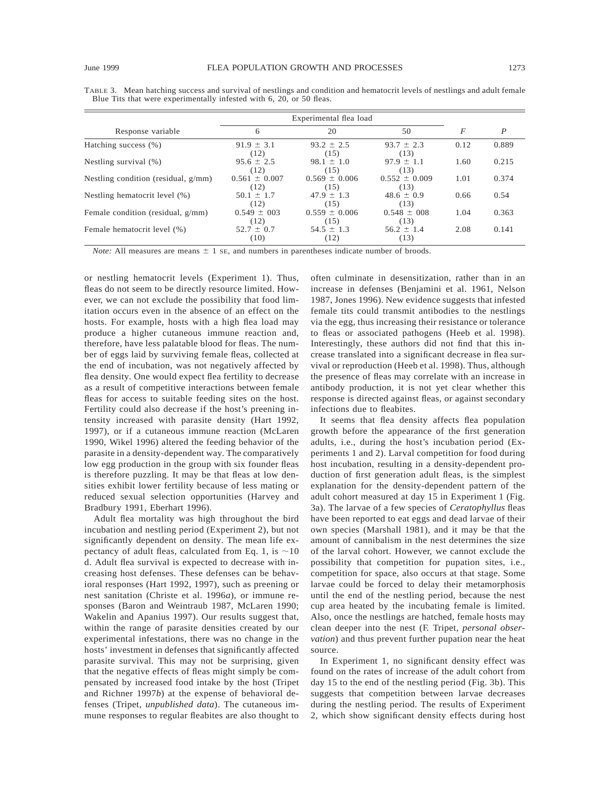|                                        | Experimental flea load    |                           |                           |                |                  |
|----------------------------------------|---------------------------|---------------------------|---------------------------|----------------|------------------|
| Response variable                      | 6                         | 20                        | 50                        | $\overline{F}$ | $\boldsymbol{P}$ |
| Hatching success (%)                   | $91.9 \pm 3.1$<br>(12)    | $93.2 \pm 2.5$<br>(15)    | $93.7 \pm 2.3$<br>(13)    | 0.12           | 0.889            |
| Nestling survival $(\%)$               | $95.6 \pm 2.5$<br>(12)    | $98.1 \pm 1.0$<br>(15)    | $97.9 \pm 1.1$<br>(13)    | 1.60           | 0.215            |
| Nestling condition (residual, $g/mm$ ) | $0.561 \pm 0.007$<br>(12) | $0.569 \pm 0.006$<br>(15) | $0.552 \pm 0.009$<br>(13) | 1.01           | 0.374            |
| Nestling hematocrit level (%)          | $50.1 \pm 1.7$<br>(12)    | $47.9 \pm 1.3$<br>(15)    | $48.6 \pm 0.9$<br>(13)    | 0.66           | 0.54             |
| Female condition (residual, g/mm)      | $0.549 \pm 003$<br>(12)   | $0.559 \pm 0.006$<br>(15) | $0.548 \pm 008$<br>(13)   | 1.04           | 0.363            |
| Female hematocrit level (%)            | $52.7 \pm 0.7$<br>(10)    | $54.5 \pm 1.3$<br>(12)    | $56.2 \pm 1.4$<br>(13)    | 2.08           | 0.141            |

TABLE 3. Mean hatching success and survival of nestlings and condition and hematocrit levels of nestlings and adult female Blue Tits that were experimentally infested with 6, 20, or 50 fleas.

*Note:* All measures are means  $\pm$  1 se, and numbers in parentheses indicate number of broods.

or nestling hematocrit levels (Experiment 1). Thus, fleas do not seem to be directly resource limited. However, we can not exclude the possibility that food limitation occurs even in the absence of an effect on the hosts. For example, hosts with a high flea load may produce a higher cutaneous immune reaction and, therefore, have less palatable blood for fleas. The number of eggs laid by surviving female fleas, collected at the end of incubation, was not negatively affected by flea density. One would expect flea fertility to decrease as a result of competitive interactions between female fleas for access to suitable feeding sites on the host. Fertility could also decrease if the host's preening intensity increased with parasite density (Hart 1992, 1997), or if a cutaneous immune reaction (McLaren 1990, Wikel 1996) altered the feeding behavior of the parasite in a density-dependent way. The comparatively low egg production in the group with six founder fleas is therefore puzzling. It may be that fleas at low densities exhibit lower fertility because of less mating or reduced sexual selection opportunities (Harvey and Bradbury 1991, Eberhart 1996).

Adult flea mortality was high throughout the bird incubation and nestling period (Experiment 2), but not significantly dependent on density. The mean life expectancy of adult fleas, calculated from Eq. 1, is  $\sim$ 10 d. Adult flea survival is expected to decrease with increasing host defenses. These defenses can be behavioral responses (Hart 1992, 1997), such as preening or nest sanitation (Christe et al. 1996*a*), or immune responses (Baron and Weintraub 1987, McLaren 1990; Wakelin and Apanius 1997). Our results suggest that, within the range of parasite densities created by our experimental infestations, there was no change in the hosts' investment in defenses that significantly affected parasite survival. This may not be surprising, given that the negative effects of fleas might simply be compensated by increased food intake by the host (Tripet and Richner 1997*b*) at the expense of behavioral defenses (Tripet, *unpublished data*). The cutaneous immune responses to regular fleabites are also thought to often culminate in desensitization, rather than in an increase in defenses (Benjamini et al. 1961, Nelson 1987, Jones 1996). New evidence suggests that infested female tits could transmit antibodies to the nestlings via the egg, thus increasing their resistance or tolerance to fleas or associated pathogens (Heeb et al. 1998). Interestingly, these authors did not find that this increase translated into a significant decrease in flea survival or reproduction (Heeb et al. 1998). Thus, although the presence of fleas may correlate with an increase in antibody production, it is not yet clear whether this response is directed against fleas, or against secondary infections due to fleabites.

It seems that flea density affects flea population growth before the appearance of the first generation adults, i.e., during the host's incubation period (Experiments 1 and 2). Larval competition for food during host incubation, resulting in a density-dependent production of first generation adult fleas, is the simplest explanation for the density-dependent pattern of the adult cohort measured at day 15 in Experiment 1 (Fig. 3a). The larvae of a few species of *Ceratophyllus* fleas have been reported to eat eggs and dead larvae of their own species (Marshall 1981), and it may be that the amount of cannibalism in the nest determines the size of the larval cohort. However, we cannot exclude the possibility that competition for pupation sites, i.e., competition for space, also occurs at that stage. Some larvae could be forced to delay their metamorphosis until the end of the nestling period, because the nest cup area heated by the incubating female is limited. Also, once the nestlings are hatched, female hosts may clean deeper into the nest (F. Tripet, *personal observation*) and thus prevent further pupation near the heat source.

In Experiment 1, no significant density effect was found on the rates of increase of the adult cohort from day 15 to the end of the nestling period (Fig. 3b). This suggests that competition between larvae decreases during the nestling period. The results of Experiment 2, which show significant density effects during host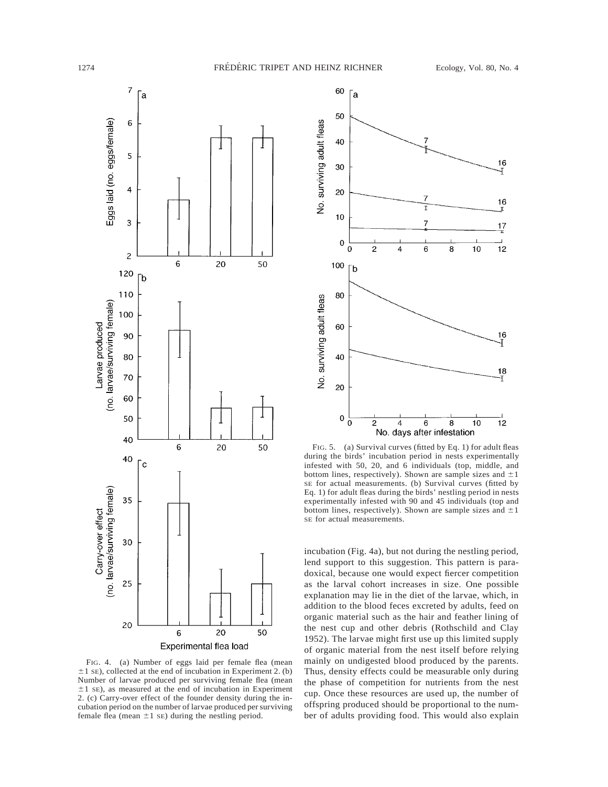

FIG. 4. (a) Number of eggs laid per female flea (mean  $\pm$ 1 sE), collected at the end of incubation in Experiment 2. (b) Number of larvae produced per surviving female flea (mean  $\pm 1$  SE), as measured at the end of incubation in Experiment 2. (c) Carry-over effect of the founder density during the incubation period on the number of larvae produced per surviving female flea (mean  $\pm 1$  SE) during the nestling period.



FIG. 5. (a) Survival curves (fitted by Eq. 1) for adult fleas during the birds' incubation period in nests experimentally infested with 50, 20, and 6 individuals (top, middle, and bottom lines, respectively). Shown are sample sizes and  $\pm 1$ SE for actual measurements. (b) Survival curves (fitted by Eq. 1) for adult fleas during the birds' nestling period in nests experimentally infested with 90 and 45 individuals (top and bottom lines, respectively). Shown are sample sizes and  $\pm 1$ SE for actual measurements.

incubation (Fig. 4a), but not during the nestling period, lend support to this suggestion. This pattern is paradoxical, because one would expect fiercer competition as the larval cohort increases in size. One possible explanation may lie in the diet of the larvae, which, in addition to the blood feces excreted by adults, feed on organic material such as the hair and feather lining of the nest cup and other debris (Rothschild and Clay 1952). The larvae might first use up this limited supply of organic material from the nest itself before relying mainly on undigested blood produced by the parents. Thus, density effects could be measurable only during the phase of competition for nutrients from the nest cup. Once these resources are used up, the number of offspring produced should be proportional to the number of adults providing food. This would also explain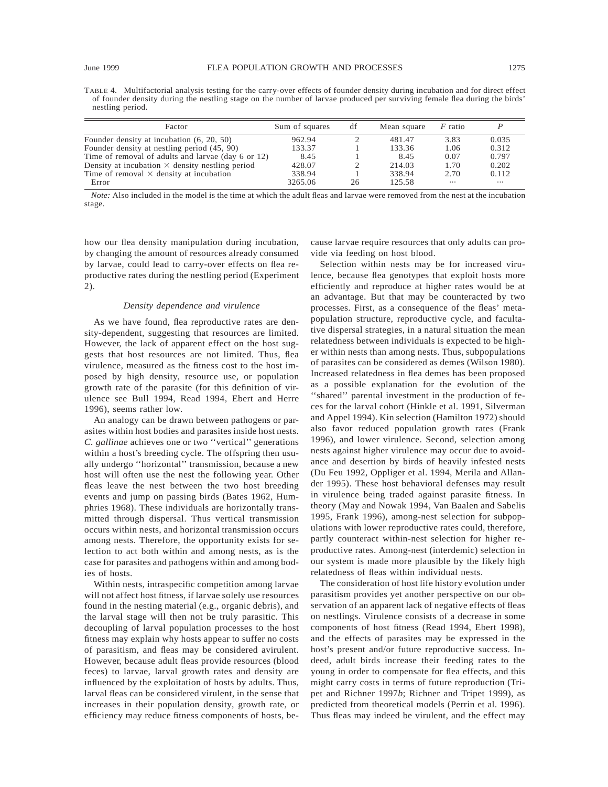| Factor                                                 | Sum of squares | df            | Mean square | $F$ ratio |          |
|--------------------------------------------------------|----------------|---------------|-------------|-----------|----------|
| Founder density at incubation $(6, 20, 50)$            | 962.94         |               | 481.47      | 3.83      | 0.035    |
| Founder density at nestling period (45, 90)            | 133.37         |               | 133.36      | 1.06      | 0.312    |
| Time of removal of adults and larvae (day 6 or 12)     | 8.45           |               | 8.45        | 0.07      | 0.797    |
| Density at incubation $\times$ density nestling period | 428.07         | $\mathcal{D}$ | 214.03      | 1.70      | 0.202    |
| Time of removal $\times$ density at incubation         | 338.94         |               | 338.94      | 2.70      | 0.112    |
| Error                                                  | 3265.06        | 26            | 125.58      | $\cdots$  | $\cdots$ |

*Note:* Also included in the model is the time at which the adult fleas and larvae were removed from the nest at the incubation stage.

how our flea density manipulation during incubation, by changing the amount of resources already consumed by larvae, could lead to carry-over effects on flea reproductive rates during the nestling period (Experiment 2).

### *Density dependence and virulence*

As we have found, flea reproductive rates are density-dependent, suggesting that resources are limited. However, the lack of apparent effect on the host suggests that host resources are not limited. Thus, flea virulence, measured as the fitness cost to the host imposed by high density, resource use, or population growth rate of the parasite (for this definition of virulence see Bull 1994, Read 1994, Ebert and Herre 1996), seems rather low.

An analogy can be drawn between pathogens or parasites within host bodies and parasites inside host nests. *C. gallinae* achieves one or two ''vertical'' generations within a host's breeding cycle. The offspring then usually undergo ''horizontal'' transmission, because a new host will often use the nest the following year. Other fleas leave the nest between the two host breeding events and jump on passing birds (Bates 1962, Humphries 1968). These individuals are horizontally transmitted through dispersal. Thus vertical transmission occurs within nests, and horizontal transmission occurs among nests. Therefore, the opportunity exists for selection to act both within and among nests, as is the case for parasites and pathogens within and among bodies of hosts.

Within nests, intraspecific competition among larvae will not affect host fitness, if larvae solely use resources found in the nesting material (e.g., organic debris), and the larval stage will then not be truly parasitic. This decoupling of larval population processes to the host fitness may explain why hosts appear to suffer no costs of parasitism, and fleas may be considered avirulent. However, because adult fleas provide resources (blood feces) to larvae, larval growth rates and density are influenced by the exploitation of hosts by adults. Thus, larval fleas can be considered virulent, in the sense that increases in their population density, growth rate, or efficiency may reduce fitness components of hosts, because larvae require resources that only adults can provide via feeding on host blood.

Selection within nests may be for increased virulence, because flea genotypes that exploit hosts more efficiently and reproduce at higher rates would be at an advantage. But that may be counteracted by two processes. First, as a consequence of the fleas' metapopulation structure, reproductive cycle, and facultative dispersal strategies, in a natural situation the mean relatedness between individuals is expected to be higher within nests than among nests. Thus, subpopulations of parasites can be considered as demes (Wilson 1980). Increased relatedness in flea demes has been proposed as a possible explanation for the evolution of the ''shared'' parental investment in the production of feces for the larval cohort (Hinkle et al. 1991, Silverman and Appel 1994). Kin selection (Hamilton 1972) should also favor reduced population growth rates (Frank 1996), and lower virulence. Second, selection among nests against higher virulence may occur due to avoidance and desertion by birds of heavily infested nests (Du Feu 1992, Oppliger et al. 1994, Merila and Allander 1995). These host behavioral defenses may result in virulence being traded against parasite fitness. In theory (May and Nowak 1994, Van Baalen and Sabelis 1995, Frank 1996), among-nest selection for subpopulations with lower reproductive rates could, therefore, partly counteract within-nest selection for higher reproductive rates. Among-nest (interdemic) selection in our system is made more plausible by the likely high relatedness of fleas within individual nests.

The consideration of host life history evolution under parasitism provides yet another perspective on our observation of an apparent lack of negative effects of fleas on nestlings. Virulence consists of a decrease in some components of host fitness (Read 1994, Ebert 1998), and the effects of parasites may be expressed in the host's present and/or future reproductive success. Indeed, adult birds increase their feeding rates to the young in order to compensate for flea effects, and this might carry costs in terms of future reproduction (Tripet and Richner 1997*b*; Richner and Tripet 1999), as predicted from theoretical models (Perrin et al. 1996). Thus fleas may indeed be virulent, and the effect may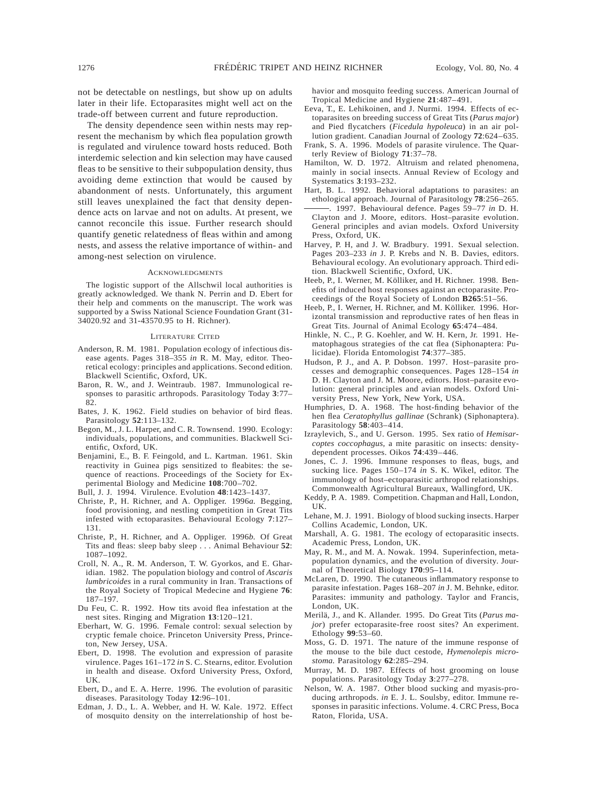not be detectable on nestlings, but show up on adults later in their life. Ectoparasites might well act on the trade-off between current and future reproduction.

The density dependence seen within nests may represent the mechanism by which flea population growth is regulated and virulence toward hosts reduced. Both interdemic selection and kin selection may have caused fleas to be sensitive to their subpopulation density, thus avoiding deme extinction that would be caused by abandonment of nests. Unfortunately, this argument still leaves unexplained the fact that density dependence acts on larvae and not on adults. At present, we cannot reconcile this issue. Further research should quantify genetic relatedness of fleas within and among nests, and assess the relative importance of within- and among-nest selection on virulence.

#### ACKNOWLEDGMENTS

The logistic support of the Allschwil local authorities is greatly acknowledged. We thank N. Perrin and D. Ebert for their help and comments on the manuscript. The work was supported by a Swiss National Science Foundation Grant (31- 34020.92 and 31-43570.95 to H. Richner).

#### LITERATURE CITED

- Anderson, R. M. 1981. Population ecology of infectious disease agents. Pages 318–355 *in* R. M. May, editor. Theoretical ecology: principles and applications. Second edition. Blackwell Scientific, Oxford, UK.
- Baron, R. W., and J. Weintraub. 1987. Immunological responses to parasitic arthropods. Parasitology Today **3**:77– 82.
- Bates, J. K. 1962. Field studies on behavior of bird fleas. Parasitology **52**:113–132.
- Begon, M., J. L. Harper, and C. R. Townsend. 1990. Ecology: individuals, populations, and communities. Blackwell Scientific, Oxford, UK.
- Benjamini, E., B. F. Feingold, and L. Kartman. 1961. Skin reactivity in Guinea pigs sensitized to fleabites: the sequence of reactions. Proceedings of the Society for Experimental Biology and Medicine **108**:700–702.

Bull, J. J. 1994. Virulence. Evolution **48**:1423–1437.

- Christe, P., H. Richner, and A. Oppliger. 1996*a.* Begging, food provisioning, and nestling competition in Great Tits infested with ectoparasites. Behavioural Ecology **7**:127– 131.
- Christe, P., H. Richner, and A. Oppliger. 1996*b.* Of Great Tits and fleas: sleep baby sleep . . . Animal Behaviour **52**: 1087–1092.
- Croll, N. A., R. M. Anderson, T. W. Gyorkos, and E. Gharidian. 1982. The population biology and control of *Ascaris lumbricoides* in a rural community in Iran. Transactions of the Royal Society of Tropical Medecine and Hygiene **76**: 187–197.
- Du Feu, C. R. 1992. How tits avoid flea infestation at the nest sites. Ringing and Migration **13**:120–121.
- Eberhart, W. G. 1996. Female control: sexual selection by cryptic female choice. Princeton University Press, Princeton, New Jersey, USA.
- Ebert, D. 1998. The evolution and expression of parasite virulence. Pages 161–172 *in* S. C. Stearns, editor. Evolution in health and disease. Oxford University Press, Oxford, UK.
- Ebert, D., and E. A. Herre. 1996. The evolution of parasitic diseases. Parasitology Today **12**:96–101.
- Edman, J. D., L. A. Webber, and H. W. Kale. 1972. Effect of mosquito density on the interrelationship of host be-

havior and mosquito feeding success. American Journal of Tropical Medicine and Hygiene **21**:487–491.

- Eeva, T., E. Lehikoinen, and J. Nurmi. 1994. Effects of ectoparasites on breeding success of Great Tits (*Parus major*) and Pied flycatchers (*Ficedula hypoleuca*) in an air pollution gradient. Canadian Journal of Zoology **72**:624–635.
- Frank, S. A. 1996. Models of parasite virulence. The Quarterly Review of Biology **71**:37–78.
- Hamilton, W. D. 1972. Altruism and related phenomena, mainly in social insects. Annual Review of Ecology and Systematics **3**:193–232.
- Hart, B. L. 1992. Behavioral adaptations to parasites: an ethological approach. Journal of Parasitology **78**:256–265.
- . 1997. Behavioural defence. Pages 59–77 *in* D. H. Clayton and J. Moore, editors. Host–parasite evolution. General principles and avian models. Oxford University Press, Oxford, UK.
- Harvey, P. H, and J. W. Bradbury. 1991. Sexual selection. Pages 203–233 *in* J. P. Krebs and N. B. Davies, editors. Behavioural ecology. An evolutionary approach. Third edition. Blackwell Scientific, Oxford, UK.
- Heeb, P., I. Werner, M. Kölliker, and H. Richner. 1998. Benefits of induced host responses against an ectoparasite. Proceedings of the Royal Society of London **B265**:51–56.
- Heeb, P., I. Werner, H. Richner, and M. Kölliker. 1996. Horizontal transmission and reproductive rates of hen fleas in Great Tits. Journal of Animal Ecology **65**:474–484.
- Hinkle, N. C., P. G. Koehler, and W. H. Kern, Jr. 1991. Hematophagous strategies of the cat flea (Siphonaptera: Pulicidae). Florida Entomologist **74**:377–385.
- Hudson, P. J., and A. P. Dobson. 1997. Host–parasite processes and demographic consequences. Pages 128–154 *in* D. H. Clayton and J. M. Moore, editors. Host–parasite evolution: general principles and avian models. Oxford University Press, New York, New York, USA.
- Humphries, D. A. 1968. The host-finding behavior of the hen flea *Ceratophyllus gallinae* (Schrank) (Siphonaptera). Parasitology **58**:403–414.
- Izraylevich, S., and U. Gerson. 1995. Sex ratio of *Hemisarcoptes coccophagus,* a mite parasitic on insects: densitydependent processes. Oikos **74**:439–446.
- Jones, C. J. 1996. Immune responses to fleas, bugs, and sucking lice. Pages 150–174 *in* S. K. Wikel, editor. The immunology of host–ectoparasitic arthropod relationships. Commonwealth Agricultural Bureaux, Wallingford, UK.
- Keddy, P. A. 1989. Competition. Chapman and Hall, London,  $\overline{U}$
- Lehane, M. J. 1991. Biology of blood sucking insects. Harper Collins Academic, London, UK.
- Marshall, A. G. 1981. The ecology of ectoparasitic insects. Academic Press, London, UK.
- May, R. M., and M. A. Nowak. 1994. Superinfection, metapopulation dynamics, and the evolution of diversity. Journal of Theoretical Biology **170**:95–114.
- McLaren, D. 1990. The cutaneous inflammatory response to parasite infestation. Pages 168–207 *in* J. M. Behnke, editor. Parasites: immunity and pathology. Taylor and Francis, London, UK.
- Merilä, J., and K. Allander. 1995. Do Great Tits (Parus ma*jor*) prefer ectoparasite-free roost sites? An experiment. Ethology **99**:53–60.
- Moss, G. D. 1971. The nature of the immune response of the mouse to the bile duct cestode, *Hymenolepis microstoma.* Parasitology **62**:285–294.
- Murray, M. D. 1987. Effects of host grooming on louse populations. Parasitology Today **3**:277–278.
- Nelson, W. A. 1987. Other blood sucking and myasis-producing arthropods. *in* E. J. L. Soulsby, editor. Immune responses in parasitic infections. Volume. 4. CRC Press, Boca Raton, Florida, USA.